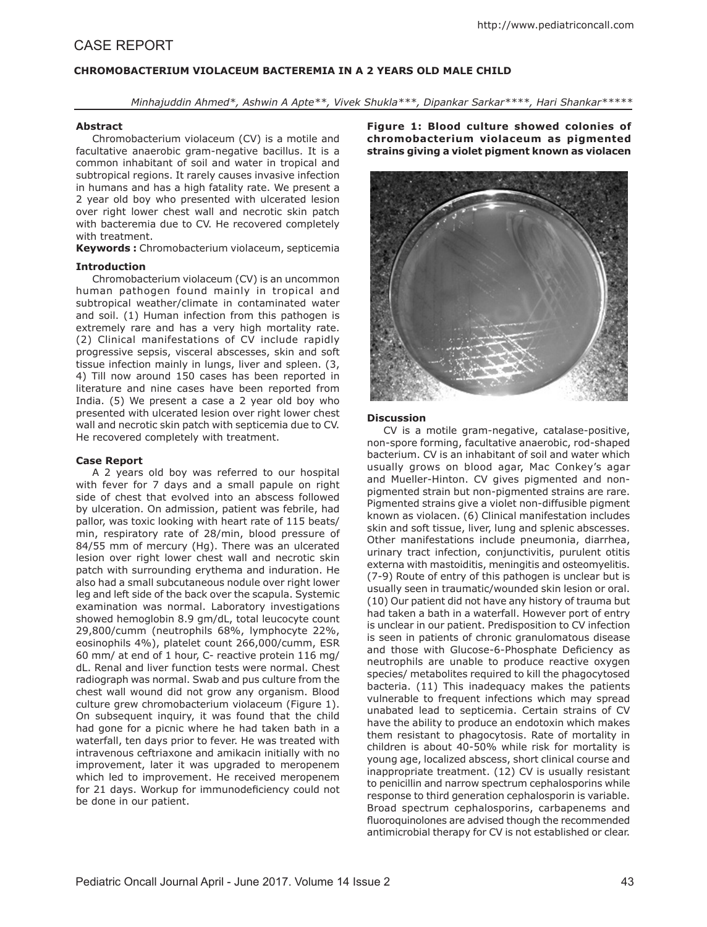# CASE REPORT

# **CHROMOBACTERIUM VIOLACEUM BACTEREMIA IN A 2 YEARS OLD MALE CHILD**

*Minhajuddin Ahmed\*, Ashwin A Apte\*\*, Vivek Shukla\*\*\*, Dipankar Sarkar\*\*\*\*, Hari Shankar\*\*\*\*\**

### **Abstract**

Chromobacterium violaceum (CV) is a motile and facultative anaerobic gram-negative bacillus. It is a common inhabitant of soil and water in tropical and subtropical regions. It rarely causes invasive infection in humans and has a high fatality rate. We present a 2 year old boy who presented with ulcerated lesion over right lower chest wall and necrotic skin patch with bacteremia due to CV. He recovered completely with treatment.

**Keywords :** Chromobacterium violaceum, septicemia

### **Introduction**

Chromobacterium violaceum (CV) is an uncommon human pathogen found mainly in tropical and subtropical weather/climate in contaminated water and soil. (1) Human infection from this pathogen is extremely rare and has a very high mortality rate. (2) Clinical manifestations of CV include rapidly progressive sepsis, visceral abscesses, skin and soft tissue infection mainly in lungs, liver and spleen. (3, 4) Till now around 150 cases has been reported in literature and nine cases have been reported from India. (5) We present a case a 2 year old boy who presented with ulcerated lesion over right lower chest wall and necrotic skin patch with septicemia due to CV. He recovered completely with treatment.

### **Case Report**

A 2 years old boy was referred to our hospital with fever for 7 days and a small papule on right side of chest that evolved into an abscess followed by ulceration. On admission, patient was febrile, had pallor, was toxic looking with heart rate of 115 beats/ min, respiratory rate of 28/min, blood pressure of 84/55 mm of mercury (Hg). There was an ulcerated lesion over right lower chest wall and necrotic skin patch with surrounding erythema and induration. He also had a small subcutaneous nodule over right lower leg and left side of the back over the scapula. Systemic examination was normal. Laboratory investigations showed hemoglobin 8.9 gm/dL, total leucocyte count 29,800/cumm (neutrophils 68%, lymphocyte 22%, eosinophils 4%), platelet count 266,000/cumm, ESR 60 mm/ at end of 1 hour, C- reactive protein 116 mg/ dL. Renal and liver function tests were normal. Chest radiograph was normal. Swab and pus culture from the chest wall wound did not grow any organism. Blood culture grew chromobacterium violaceum (Figure 1). On subsequent inquiry, it was found that the child had gone for a picnic where he had taken bath in a waterfall, ten days prior to fever. He was treated with intravenous ceftriaxone and amikacin initially with no improvement, later it was upgraded to meropenem which led to improvement. He received meropenem for 21 days. Workup for immunodeficiency could not be done in our patient.

**Figure 1: Blood culture showed colonies of chromobacterium violaceum as pigmented strains giving a violet pigment known as violacen**



#### **Discussion**

CV is a motile gram-negative, catalase-positive, non-spore forming, facultative anaerobic, rod-shaped bacterium. CV is an inhabitant of soil and water which usually grows on blood agar, Mac Conkey's agar and Mueller-Hinton. CV gives pigmented and nonpigmented strain but non-pigmented strains are rare. Pigmented strains give a violet non-diffusible pigment known as violacen. (6) Clinical manifestation includes skin and soft tissue, liver, lung and splenic abscesses. Other manifestations include pneumonia, diarrhea, urinary tract infection, conjunctivitis, purulent otitis externa with mastoiditis, meningitis and osteomyelitis. (7-9) Route of entry of this pathogen is unclear but is usually seen in traumatic/wounded skin lesion or oral. (10) Our patient did not have any history of trauma but had taken a bath in a waterfall. However port of entry is unclear in our patient. Predisposition to CV infection is seen in patients of chronic granulomatous disease and those with Glucose-6-Phosphate Deficiency as neutrophils are unable to produce reactive oxygen species/ metabolites required to kill the phagocytosed bacteria. (11) This inadequacy makes the patients vulnerable to frequent infections which may spread unabated lead to septicemia. Certain strains of CV have the ability to produce an endotoxin which makes them resistant to phagocytosis. Rate of mortality in children is about 40-50% while risk for mortality is young age, localized abscess, short clinical course and inappropriate treatment. (12) CV is usually resistant to penicillin and narrow spectrum cephalosporins while response to third generation cephalosporin is variable. Broad spectrum cephalosporins, carbapenems and fluoroquinolones are advised though the recommended antimicrobial therapy for CV is not established or clear.